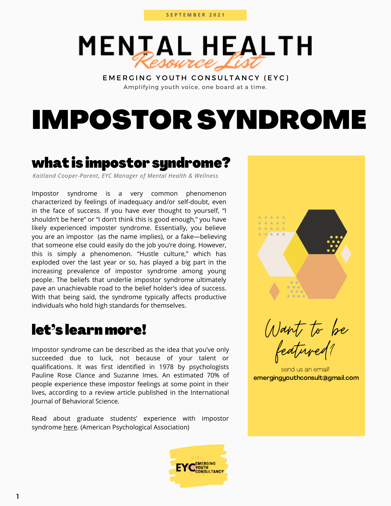

EMERGING YOUTH CONSULTANCY (EYC) Amplifying youth voice, one board at a time.

# IMPOSTOR SYNDROME

## what is impostor syndrome?

*Kaitland Cooper-Parent, EYC Manager of Mental Health & Wellness*

Impostor syndrome is a very common phenomenon characterized by feelings of inadequacy and/or self-doubt, even in the face of success. If you have ever thought to yourself, "I shouldn't be here" or "I don't think this is good enough," you have likely experienced imposter syndrome. Essentially, you believe you are an impostor (as the name implies), or a fake—believing that someone else could easily do the job you're doing. However, this is simply a phenomenon. "Hustle culture," which has exploded over the last year or so, has played a big part in the increasing prevalence of impostor syndrome among young people. The beliefs that underlie impostor syndrome ultimately pave an unachievable road to the belief holder's idea of success. With that being said, the syndrome typically affects productive individuals who hold high standards for themselves.

### let's learn more!

Impostor syndrome can be described as the idea that you've only succeeded due to luck, not because of your talent or qualifications. It was first identified in 1978 by psychologists Pauline Rose Clance and Suzanne Imes. An estimated 70% of people experience these impostor feelings at some point in their lives, according to a [review](https://www.tci-thaijo.org/index.php/IJBS/article/view/521) article published in the International Journal of Behavioral Science.

Read about graduate students' experience with impostor syndrome [here.](https://www.apa.org/gradpsych/2013/11/fraud) (American Psychological Association)





Want to be featured?

send us an email! emergingyouthconsult@gmail.com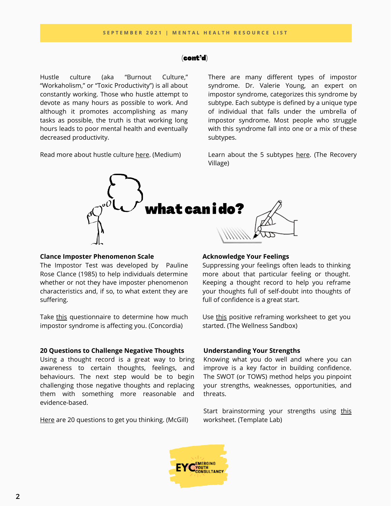#### (cont'd)

Hustle culture (aka "Burnout Culture," "Workaholism," or "Toxic Productivity") is all about constantly working. Those who hustle attempt to devote as many hours as possible to work. And although it promotes accomplishing as many tasks as possible, the truth is that working long hours leads to poor mental health and eventually decreased productivity.

Read more about hustle culture [here.](https://medium.com/the-post-grad-survival-guide/hustle-culture-why-is-everyone-working-too-hard-69f9f5331ab5) (Medium)

There are many different types of impostor syndrome. Dr. Valerie Young, an expert on impostor syndrome, categorizes this syndrome by subtype. Each subtype is defined by a unique type of individual that falls under the umbrella of impostor syndrome. Most people who struggle with this syndrome fall into one or a mix of these subtypes.

Learn about the 5 subtypes [here](https://www.therecoveryvillage.com/mental-health/imposter-syndrome/). (The Recovery Village)



#### **Clance Imposter Phenomenon Scale**

The Impostor Test was developed by Pauline Rose Clance (1985) to help individuals determine whether or not they have imposter phenomenon characteristics and, if so, to what extent they are suffering.

Take [this](https://www.concordia.ca/content/dam/concordia/aar/docs/benefits/careers/Clance-IP-test-and-scoring.pdf) questionnaire to determine how much impostor syndrome is affecting you. (Concordia)

#### **20 Questions to Challenge Negative Thoughts**

Using a thought record is a great way to bring awareness to certain thoughts, feelings, and behaviours. The next step would be to begin challenging those negative thoughts and replacing them with something more reasonable and evidence-based.

[Here](https://www.mcgill.ca/counselling/files/counselling/20_questions_to_challenge_negative_thoughts_0.pdf) are 20 questions to get you thinking. (McGill)

#### **Acknowledge Your Feelings**

Suppressing your feelings often leads to thinking more about that particular feeling or thought. Keeping a thought record to help you reframe your thoughts full of self-doubt into thoughts of full of confidence is a great start.

Use [this](https://www.thewellnesssandbox.ca/public/download/files/181199) positive reframing worksheet to get you started. (The Wellness Sandbox)

#### **Understanding Your Strengths**

Knowing what you do well and where you can improve is a key factor in building confidence. The SWOT (or TOWS) method helps you pinpoint your strengths, weaknesses, opportunities, and threats.

Start brainstorming your strengths using [this](https://templatelab.com/wp-content/uploads/2020/04/SWOT-Analysis-Template-04-TemplateLab.com_-scaled.jpg) worksheet. (Template Lab)

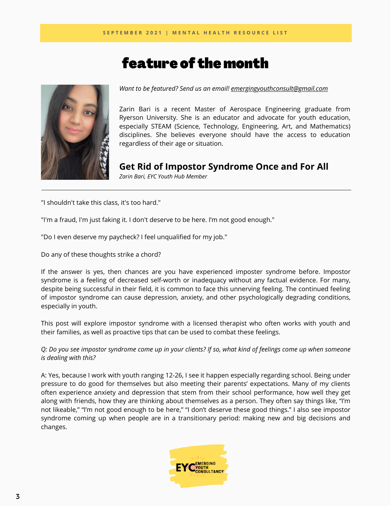### feature of the month



*Want to be featured? Send us an email! emergingyouthconsult@gmail.com*

Zarin Bari is a recent Master of Aerospace Engineering graduate from Ryerson University. She is an educator and advocate for youth education, especially STEAM (Science, Technology, Engineering, Art, and Mathematics) disciplines. She believes everyone should have the access to education regardless of their age or situation.

### **Get Rid of Impostor Syndrome Once and For All**

*Zarin Bari, EYC Youth Hub Member*

"I shouldn't take this class, it's too hard."

"I'm a fraud, I'm just faking it. I don't deserve to be here. I'm not good enough."

"Do I even deserve my paycheck? I feel unqualified for my job."

Do any of these thoughts strike a chord?

If the answer is yes, then chances are you have experienced imposter syndrome before. Impostor syndrome is a feeling of decreased self-worth or inadequacy without any factual evidence. For many, despite being successful in their field, it is common to face this unnerving feeling. The continued feeling of impostor syndrome can cause depression, anxiety, and other psychologically degrading conditions, especially in youth.

This post will explore impostor syndrome with a licensed therapist who often works with youth and their families, as well as proactive tips that can be used to combat these feelings.

Q: Do you see impostor syndrome come up in your clients? If so, what kind of feelings come up when someone *is dealing with this?*

A: Yes, because I work with youth ranging 12-26, I see it happen especially regarding school. Being under pressure to do good for themselves but also meeting their parents' expectations. Many of my clients often experience anxiety and depression that stem from their school performance, how well they get along with friends, how they are thinking about themselves as a person. They often say things like, "I'm not likeable," "I'm not good enough to be here," "I don't deserve these good things." I also see impostor syndrome coming up when people are in a transitionary period: making new and big decisions and changes.

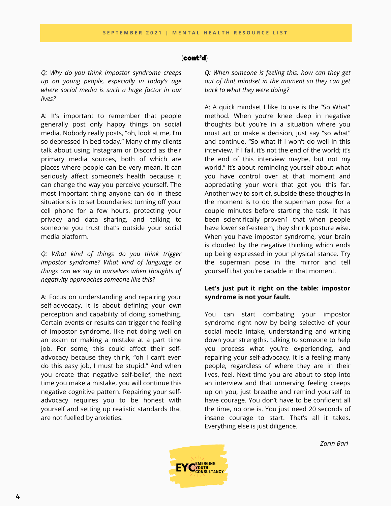#### (cont'd)

*Q: Why do you think impostor syndrome creeps up on young people, especially in today's age where social media is such a huge factor in our lives?*

A: It's important to remember that people generally post only happy things on social media. Nobody really posts, "oh, look at me, I'm so depressed in bed today." Many of my clients talk about using Instagram or Discord as their primary media sources, both of which are places where people can be very mean. It can seriously affect someone's health because it can change the way you perceive yourself. The most important thing anyone can do in these situations is to set boundaries: turning off your cell phone for a few hours, protecting your privacy and data sharing, and talking to someone you trust that's outside your social media platform.

*Q: What kind of things do you think trigger impostor syndrome? What kind of language or things can we say to ourselves when thoughts of negativity approaches someone like this?*

A: Focus on understanding and repairing your self-advocacy. It is about defining your own perception and capability of doing something. Certain events or results can trigger the feeling of impostor syndrome, like not doing well on an exam or making a mistake at a part time job. For some, this could affect their selfadvocacy because they think, "oh I can't even do this easy job, I must be stupid." And when you create that negative self-belief, the next time you make a mistake, you will continue this negative cognitive pattern. Repairing your selfadvocacy requires you to be honest with yourself and setting up realistic standards that are not fuelled by anxieties.

*Q: When someone is feeling this, how can they get out of that mindset in the moment so they can get back to what they were doing?*

A: A quick mindset I like to use is the "So What" method. When you're knee deep in negative thoughts but you're in a situation where you must act or make a decision, just say "so what" and continue. "So what if I won't do well in this interview. If I fail, it's not the end of the world; it's the end of this interview maybe, but not my world." It's about reminding yourself about what you have control over at that moment and appreciating your work that got you this far. Another way to sort of, subside these thoughts in the moment is to do the superman pose for a couple minutes before starting the task. It has been scientifically proven1 that when people have lower self-esteem, they shrink posture wise. When you have impostor syndrome, your brain is clouded by the negative thinking which ends up being expressed in your physical stance. Try the superman pose in the mirror and tell yourself that you're capable in that moment.

#### **Let's just put it right on the table: impostor syndrome is not your fault.**

You can start combating your impostor syndrome right now by being selective of your social media intake, understanding and writing down your strengths, talking to someone to help you process what you're experiencing, and repairing your self-advocacy. It is a feeling many people, regardless of where they are in their lives, feel. Next time you are about to step into an interview and that unnerving feeling creeps up on you, just breathe and remind yourself to have courage. You don't have to be confident all the time, no one is. You just need 20 seconds of insane courage to start. That's all it takes. Everything else is just diligence.

*Zarin Bari*

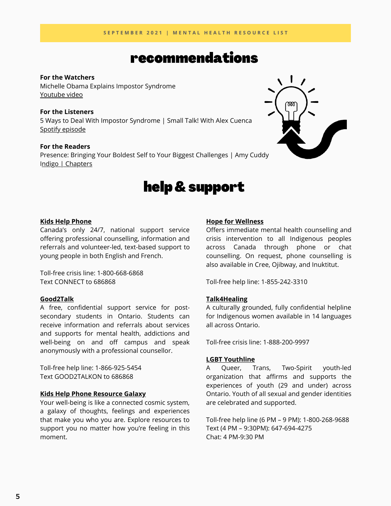### recommendations

**For the Watchers** Michelle Obama Explains Impostor Syndrome [Youtube](https://www.youtube.com/watch?v=dumm_XfHkmY) video

**For the Listeners** 5 Ways to Deal With Impostor Syndrome | Small Talk! With Alex Cuenca Spotify [episode](https://open.spotify.com/episode/0p4aiQJRukD2fvWrbkHQ5x?si=dEylpltfQoiN7BHMCwkcrw&dl_branch=1)

**For the Readers** Presence: Bringing Your Boldest Self to Your Biggest Challenges | Amy Cuddy Indigo | [Chapters](https://www.chapters.indigo.ca/en-ca/books/presence-bringing-your-boldest-self/9780316256582-item.html?ikwid=Presence%3a+Bringing+Your+Boldest+Self+to+Your+Biggest+Challenges+%e2%80%93+Amy+Cuddy&ikwsec=Home&ikwidx=0#algoliaQueryId=cfb87df9097be62b5d91b67ea61d5fff)

## help& support

#### **Kids Help [Phone](https://kidshelpphone.ca/)**

Canada's only 24/7, national support service offering professional counselling, information and referrals and volunteer-led, text-based support to young people in both English and French.

Toll-free crisis line: 1-800-668-6868 Text CONNECT to 686868

#### **[Good2Talk](https://good2talk.ca/)**

A free, confidential support service for postsecondary students in Ontario. Students can receive information and referrals about services and supports for mental health, addictions and well-being on and off campus and speak anonymously with a professional counsellor.

Toll-free help line: 1-866-925-5454 Text GOOD2TALKON to 686868

#### **Kids Help Phone [Resource](https://kidshelpphone.ca/chart-your-well-being-with-our-resource-galaxy/) Galaxy**

Your well-being is like a connected cosmic system, a galaxy of thoughts, feelings and experiences that make you who you are. Explore resources to support you no matter how you're feeling in this moment.

#### **Hope for [Wellness](https://www.hopeforwellness.ca/)**

Offers immediate mental health counselling and crisis intervention to all Indigenous peoples across Canada through phone or chat counselling. On request, phone counselling is also available in Cree, Ojibway, and Inuktitut.

Toll-free help line: 1-855-242-3310

#### **[Talk4Healing](https://www.talk4healing.com/)**

A culturally grounded, fully confidential helpline for Indigenous women available in 14 languages all across Ontario.

Toll-free crisis line: 1-888-200-9997

#### **LGBT [Youthline](https://www.youthline.ca/)**

A Queer, Trans, Two-Spirit youth-led organization that affirms and supports the experiences of youth (29 and under) across Ontario. Youth of all sexual and gender identities are celebrated and supported.

Toll-free help line (6 PM – 9 PM): 1-800-268-9688 Text (4 PM – 9:30PM): 647-694-4275 Chat: 4 PM-9:30 PM